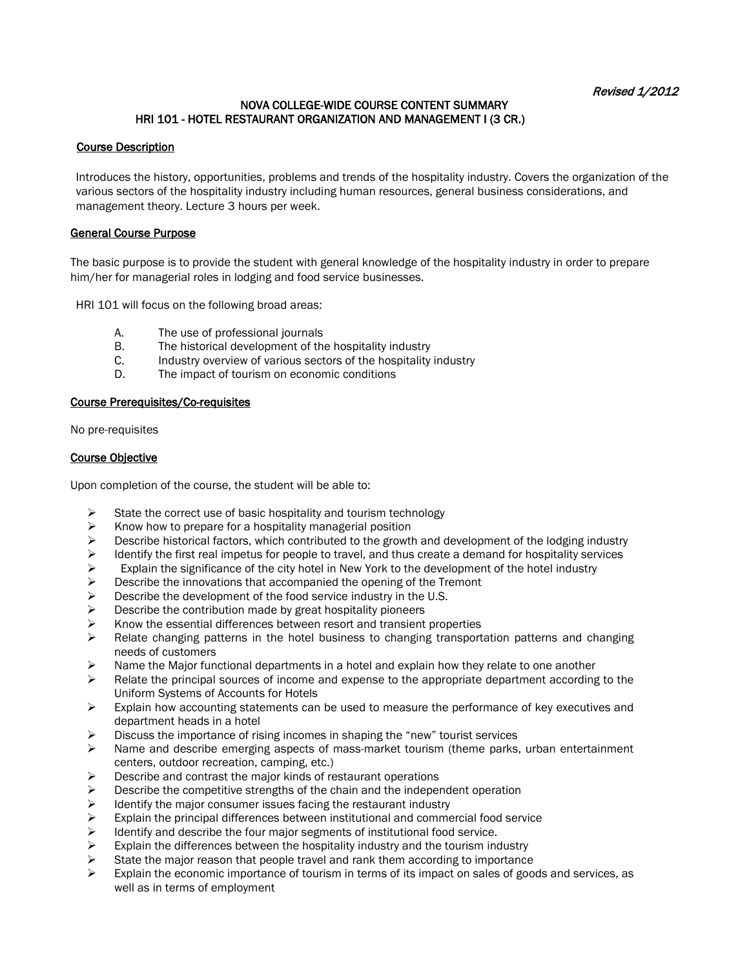## NOVA COLLEGE-WIDE COURSE CONTENT SUMMARY HRI 101 - HOTEL RESTAURANT ORGANIZATION AND MANAGEMENT I (3 CR.)

### Course Description

Introduces the history, opportunities, problems and trends of the hospitality industry. Covers the organization of the various sectors of the hospitality industry including human resources, general business considerations, and management theory. Lecture 3 hours per week.

#### General Course Purpose

The basic purpose is to provide the student with general knowledge of the hospitality industry in order to prepare him/her for managerial roles in lodging and food service businesses.

HRI 101 will focus on the following broad areas:

- A. The use of professional journals
- B. The historical development of the hospitality industry<br>C. Industry overview of various sectors of the hospitality
- Industry overview of various sectors of the hospitality industry
- D. The impact of tourism on economic conditions

#### Course Prerequisites/Co-requisites

No pre-requisites

### Course Objective

Upon completion of the course, the student will be able to:

- State the correct use of basic hospitality and tourism technology<br>  $\triangleright$  Know how to prepare for a hospitality managerial position
- Know how to prepare for a hospitality managerial position
- $\triangleright$  Describe historical factors, which contributed to the growth and development of the lodging industry  $\triangleright$  Identify the first real impetus for people to travel, and thus create a demand for hospitality services
- Identify the first real impetus for people to travel, and thus create a demand for hospitality services  $\triangleright$  Explain the significance of the city hotel in New York to the development of the hotel industry
- Explain the significance of the city hotel in New York to the development of the hotel industry<br>
Describe the innovations that accompanied the opening of the Tremont
- Describe the innovations that accompanied the opening of the Tremont<br>  $\triangleright$  Describe the development of the food service industry in the U.S.
- Describe the development of the food service industry in the U.S.<br>
Describe the contribution made by great hospitality pioneers
- Describe the contribution made by great hospitality pioneers
- $\triangleright$  Know the essential differences between resort and transient properties
- $\triangleright$  Relate changing patterns in the hotel business to changing transportation patterns and changing needs of customers
- Name the Major functional departments in a hotel and explain how they relate to one another  $\geq$  Relate the principal sources of income and expense to the appropriate department according
- Relate the principal sources of income and expense to the appropriate department according to the Uniform Systems of Accounts for Hotels
- $\triangleright$  Explain how accounting statements can be used to measure the performance of key executives and department heads in a hotel
- $\triangleright$  Discuss the importance of rising incomes in shaping the "new" tourist services
- $\triangleright$  Name and describe emerging aspects of mass-market tourism (theme parks, urban entertainment centers, outdoor recreation, camping, etc.)
- $\triangleright$  Describe and contrast the major kinds of restaurant operations
- $\triangleright$  Describe the competitive strengths of the chain and the independent operation
- $\triangleright$  Identify the major consumer issues facing the restaurant industry
- Explain the principal differences between institutional and commercial food service  $\geq$  Identify and describe the four maior segments of institutional food service.
- 
- Identify and describe the four major segments of institutional food service.<br>  $\triangleright$  Explain the differences between the hospitality industry and the tourism inc Explain the differences between the hospitality industry and the tourism industry<br>
State the major reason that people travel and rank them according to importance
- State the major reason that people travel and rank them according to importance  $\geq$  Explain the economic importance of fourism in terms of its impact on sales of good
- Explain the economic importance of tourism in terms of its impact on sales of goods and services, as well as in terms of employment